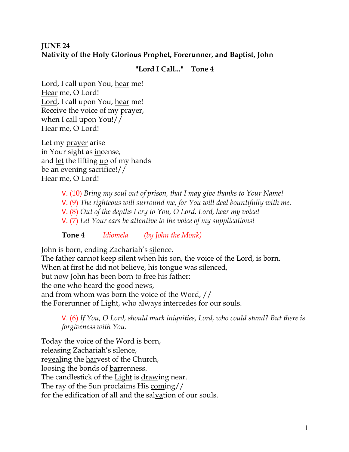## **JUNE 24 Nativity of the Holy Glorious Prophet, Forerunner, and Baptist, John**

#### **"Lord I Call..." Tone 4**

Lord, I call upon You, hear me! Hear me, O Lord! Lord, I call upon You, hear me! Receive the voice of my prayer, when I call upon You!// Hear me, O Lord!

Let my prayer arise in Your sight as incense, and let the lifting up of my hands be an evening sacrifice!// Hear me, O Lord!

> V. (10) *Bring my soul out of prison, that I may give thanks to Your Name!*  V. (9) *The righteous will surround me, for You will deal bountifully with me.*  V. (8) *Out of the depths I cry to You, O Lord. Lord, hear my voice!*  V. (7) *Let Your ears be attentive to the voice of my supplications!*

**Tone 4** *Idiomela (by John the Monk)*

John is born, ending Zachariah's silence.

The father cannot keep silent when his son, the voice of the Lord, is born. When at first he did not believe, his tongue was silenced, but now John has been born to free his father: the one who heard the good news, and from whom was born the voice of the Word, // the Forerunner of Light, who always intercedes for our souls.

V. (6) *If You, O Lord, should mark iniquities, Lord, who could stand? But there is forgiveness with You.* 

Today the voice of the Word is born, releasing Zachariah's silence, revealing the harvest of the Church, loosing the bonds of barrenness. The candlestick of the Light is drawing near. The ray of the Sun proclaims His coming// for the edification of all and the salvation of our souls.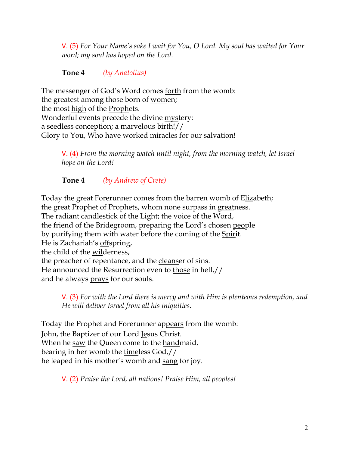V. (5) *For Your Name's sake I wait for You, O Lord. My soul has waited for Your word; my soul has hoped on the Lord.* 

**Tone 4** *(by Anatolius)*

The messenger of God's Word comes forth from the womb: the greatest among those born of women; the most <u>high</u> of the <u>Proph</u>ets. Wonderful events precede the divine mystery: a seedless conception; a marvelous birth!// Glory to You, Who have worked miracles for our salvation!

> V. (4) *From the morning watch until night, from the morning watch, let Israel hope on the Lord!*

**Tone 4** *(by Andrew of Crete)*

Today the great Forerunner comes from the barren womb of Elizabeth; the great Prophet of Prophets, whom none surpass in greatness. The radiant candlestick of the Light; the voice of the Word, the friend of the Bridegroom, preparing the Lord's chosen people by purifying them with water before the coming of the Spirit. He is Zachariah's offspring, the child of the wilderness, the preacher of repentance, and the cleanser of sins. He announced the Resurrection even to those in hell,// and he always <u>prays</u> for our souls.

V. (3) *For with the Lord there is mercy and with Him is plenteous redemption, and He will deliver Israel from all his iniquities.*

Today the Prophet and Forerunner appears from the womb: John, the Baptizer of our Lord Jesus Christ. When he saw the Queen come to the handmaid, bearing in her womb the timeless God,// he leaped in his mother's womb and sang for joy.

V. (2) *Praise the Lord, all nations! Praise Him, all peoples!*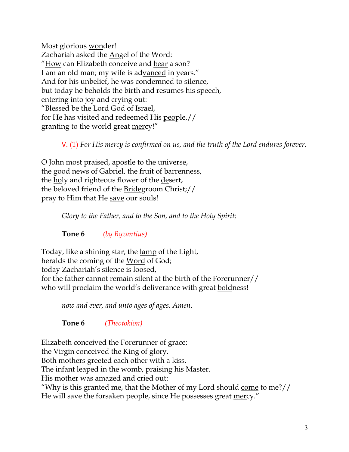Most glorious wonder! Zachariah asked the Angel of the Word: "How can Elizabeth conceive and bear a son? I am an old man; my wife is advanced in years." And for his unbelief, he was condemned to silence, but today he beholds the birth and resumes his speech, entering into joy and crying out: "Blessed be the Lord God of Israel, for He has visited and redeemed His people,// granting to the world great mercy!"

V. (1) *For His mercy is confirmed on us, and the truth of the Lord endures forever.* 

O John most praised, apostle to the <u>u</u>niverse, the good news of Gabriel, the fruit of barrenness, the holy and righteous flower of the desert, the beloved friend of the Bridegroom Christ;// pray to Him that He save our souls!

*Glory to the Father, and to the Son, and to the Holy Spirit;*

**Tone 6** *(by Byzantius)*

Today, like a shining star, the lamp of the Light, heralds the coming of the Word of God; today Zachariah's silence is loosed, for the father cannot remain silent at the birth of the Forerunner// who will proclaim the world's deliverance with great boldness!

*now and ever, and unto ages of ages. Amen.* 

**Tone 6** *(Theotokion)*

Elizabeth conceived the Forerunner of grace; the Virgin conceived the King of glory. Both mothers greeted each other with a kiss. The infant leaped in the womb, praising his Master. His mother was amazed and cried out: "Why is this granted me, that the Mother of my Lord should come to me?// He will save the forsaken people, since He possesses great mercy."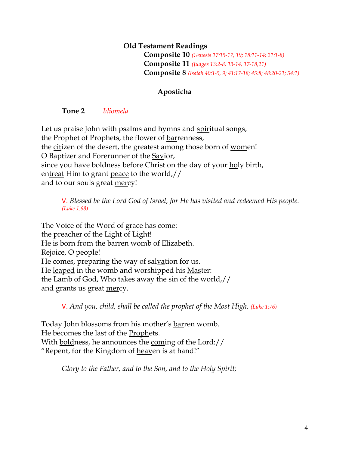### **Old Testament Readings Composite 10** *(Genesis 17:15-17, 19; 18:11-14; 21:1-8)* **Composite 11** *(Judges 13:2-8, 13-14, 17-18,21)* **Composite 8** *(Isaiah 40:1-5, 9; 41:17-18; 45:8; 48:20-21; 54:1)*

# **Aposticha**

### **Tone 2** *Idiomela*

Let us praise John with psalms and hymns and spiritual songs, the Prophet of Prophets, the flower of barrenness, the citizen of the desert, the greatest among those born of women! O Baptizer and Forerunner of the Savior, since you have boldness before Christ on the day of your holy birth, entreat Him to grant peace to the world,// and to our souls great mercy!

V. *Blessed be the Lord God of Israel, for He has visited and redeemed His people. (Luke 1:68)* 

The Voice of the Word of grace has come: the preacher of the Light of Light! He is born from the barren womb of Elizabeth. Rejoice, O people! He comes, preparing the way of salvation for us. He leaped in the womb and worshipped his Master: the Lamb of God, Who takes away the sin of the world,// and grants us great mercy.

V. *And you, child, shall be called the prophet of the Most High. (Luke 1:76)*

Today John blossoms from his mother's barren womb. He becomes the last of the Prophets. With boldness, he announces the coming of the Lord:// "Repent, for the Kingdom of heaven is at hand!"

*Glory to the Father, and to the Son, and to the Holy Spirit;*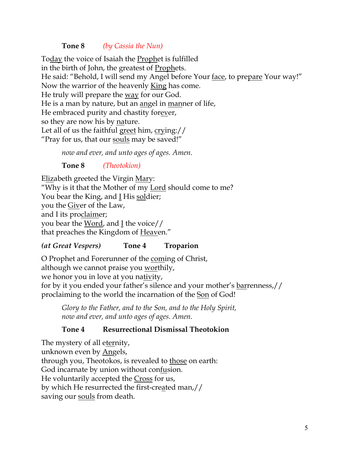### **Tone 8** *(by Cassia the Nun)*

Today the voice of Isaiah the Prophet is fulfilled in the birth of John, the greatest of Prophets. He said: "Behold, I will send my Angel before Your face, to prepare Your way!" Now the warrior of the heavenly King has come. He truly will prepare the way for our God. He is a man by nature, but an angel in manner of life, He embraced purity and chastity forever, so they are now his by nature. Let all of us the faithful greet him, crying:// "Pray for us, that our souls may be saved!"

*now and ever, and unto ages of ages. Amen.*

**Tone 8** *(Theotokion)*

Elizabeth greeted the Virgin Mary: "Why is it that the Mother of my Lord should come to me? You bear the King, and I His soldier; you the Giver of the Law, and I its proclaimer; you bear the Word, and I the voice// that preaches the Kingdom of Heaven."

### *(at Great Vespers)* **Tone 4 Troparion**

O Prophet and Forerunner of the coming of Christ, although we cannot praise you worthily, we honor you in love at you nativity, for by it you ended your father's silence and your mother's barrenness,// proclaiming to the world the incarnation of the Son of God!

*Glory to the Father, and to the Son, and to the Holy Spirit, now and ever, and unto ages of ages. Amen.*

## **Tone 4 Resurrectional Dismissal Theotokion**

The mystery of all eternity, unknown even by Angels, through you, Theotokos, is revealed to those on earth: God incarnate by union without confusion. He voluntarily accepted the Cross for us, by which He resurrected the first-created man,// saving our souls from death.